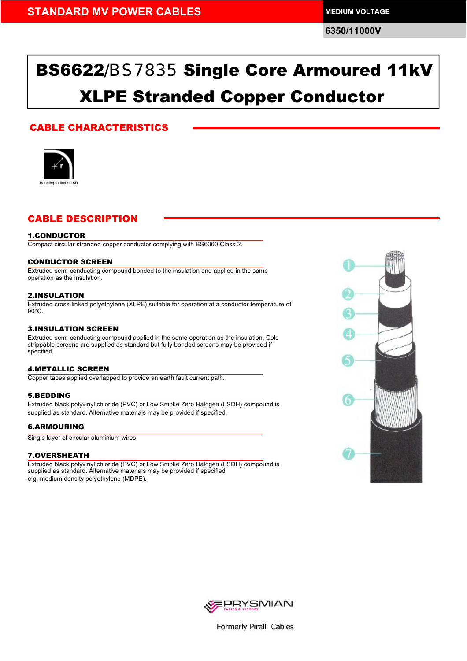**6350/11000V**

# BS6622/BS7835 Single Core Armoured 11kV XLPE Stranded Copper Conductor

### CABLE CHARACTERISTICS



### CABLE DESCRIPTION

### 1.CONDUCTOR

Compact circular stranded copper conductor complying with BS6360 Class 2.

### CONDUCTOR SCREEN

Extruded semi-conducting compound bonded to the insulation and applied in the same operation as the insulation.

### 2.INSULATION

Extruded cross-linked polyethylene (XLPE) suitable for operation at a conductor temperature of 90°C.

### 3.INSULATION SCREEN

Extruded semi-conducting compound applied in the same operation as the insulation. Cold strippable screens are supplied as standard but fully bonded screens may be provided if specified.

### 4.METALLIC SCREEN

Copper tapes applied overlapped to provide an earth fault current path.

### 5.BEDDING

Extruded black polyvinyl chloride (PVC) or Low Smoke Zero Halogen (LSOH) compound is supplied as standard. Alternative materials may be provided if specified.

### 6.ARMOURING

Single layer of circular aluminium wires.

#### 7.OVERSHEATH

Extruded black polyvinyl chloride (PVC) or Low Smoke Zero Halogen (LSOH) compound is supplied as standard. Alternative materials may be provided if specified e.g. medium density polyethylene (MDPE).





Formerly Pirelli Cables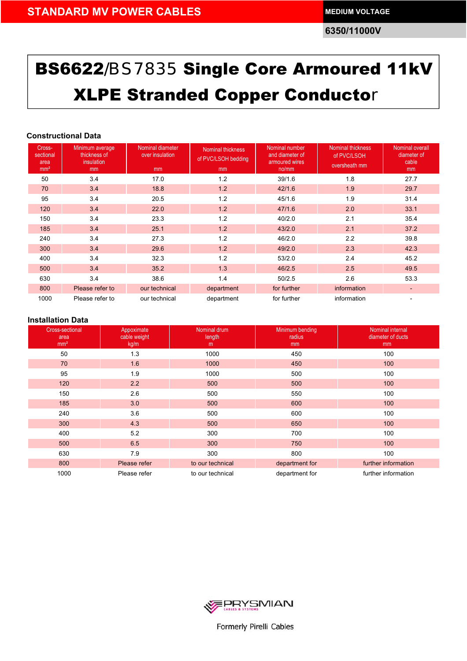**6350/11000V**

# BS6622/BS7835 Single Core Armoured 11kV XLPE Stranded Copper Conductor

### **<sup>C</sup>onstructional Data**

| Cross-<br>sectional<br>area<br>mm <sup>2</sup> | Minimum average<br>thickness of<br>insulation<br>mm | Nominal diameter<br>over insulation<br>mm | Nominal thickness<br>of PVC/LSOH bedding<br>m <sub>m</sub> | Nominal number<br>and diameter of<br>armoured wires<br>no/mm | <b>Nominal thickness</b><br>of PVC/LSOH<br>oversheath mm | <b>Nominal overall</b><br>diameter of<br>cable<br>mm |
|------------------------------------------------|-----------------------------------------------------|-------------------------------------------|------------------------------------------------------------|--------------------------------------------------------------|----------------------------------------------------------|------------------------------------------------------|
| 50                                             | 3.4                                                 | 17.0                                      | 1.2                                                        | 39/1.6                                                       | 1.8                                                      | 27.7                                                 |
| 70                                             | 3.4                                                 | 18.8                                      | 1.2                                                        | 42/1.6                                                       | 1.9                                                      | 29.7                                                 |
| 95                                             | 3.4                                                 | 20.5                                      | 1.2                                                        | 45/1.6                                                       | 1.9                                                      | 31.4                                                 |
| 120                                            | 3.4                                                 | 22.0                                      | 1.2                                                        | 47/1.6                                                       | 2.0                                                      | 33.1                                                 |
| 150                                            | 3.4                                                 | 23.3                                      | 1.2                                                        | 40/2.0                                                       | 2.1                                                      | 35.4                                                 |
| 185                                            | 3.4                                                 | 25.1                                      | 1.2                                                        | 43/2.0                                                       | 2.1                                                      | 37.2                                                 |
| 240                                            | 3.4                                                 | 27.3                                      | 1.2                                                        | 46/2.0                                                       | 2.2                                                      | 39.8                                                 |
| 300                                            | 3.4                                                 | 29.6                                      | 1.2                                                        | 49/2.0                                                       | 2.3                                                      | 42.3                                                 |
| 400                                            | 3.4                                                 | 32.3                                      | 1.2                                                        | 53/2.0                                                       | 2.4                                                      | 45.2                                                 |
| 500                                            | 3.4                                                 | 35.2                                      | 1.3                                                        | 46/2.5                                                       | 2.5                                                      | 49.5                                                 |
| 630                                            | 3.4                                                 | 38.6                                      | 1.4                                                        | 50/2.5                                                       | 2.6                                                      | 53.3                                                 |
| 800                                            | Please refer to                                     | our technical                             | department                                                 | for further                                                  | information                                              | ٠                                                    |
| 1000                                           | Please refer to                                     | our technical                             | department                                                 | for further                                                  | information                                              |                                                      |

| <b>Cross-sectional</b><br>area<br>mm <sup>2</sup> | Appoximate<br>cable weight<br>kg/m | Nominal drum<br>length<br>m | Minimum bending<br>radius<br>mm | Nominal internal<br>diameter of ducts<br>mm |
|---------------------------------------------------|------------------------------------|-----------------------------|---------------------------------|---------------------------------------------|
| 50                                                | 1.3                                | 1000                        | 450                             | 100                                         |
| 70                                                | 1.6                                | 1000                        | 450                             | 100                                         |
| 95                                                | 1.9                                | 1000                        | 500                             | 100                                         |
| 120                                               | 2.2                                | 500                         | 500                             | 100                                         |
| 150                                               | 2.6                                | 500                         | 550                             | 100                                         |
| 185                                               | 3.0                                | 500                         | 600                             | 100                                         |
| 240                                               | 3.6                                | 500                         | 600                             | 100                                         |
| 300                                               | 4.3                                | 500                         | 650                             | 100                                         |
| 400                                               | 5.2                                | 300                         | 700                             | 100                                         |
| 500                                               | 6.5                                | 300                         | 750                             | 100                                         |
| 630                                               | 7.9                                | 300                         | 800                             | 100                                         |
| 800                                               | Please refer                       | to our technical            | department for                  | further information                         |
| 1000                                              | Please refer                       | to our technical            | department for                  | further information                         |



Formerly Pirelli Cables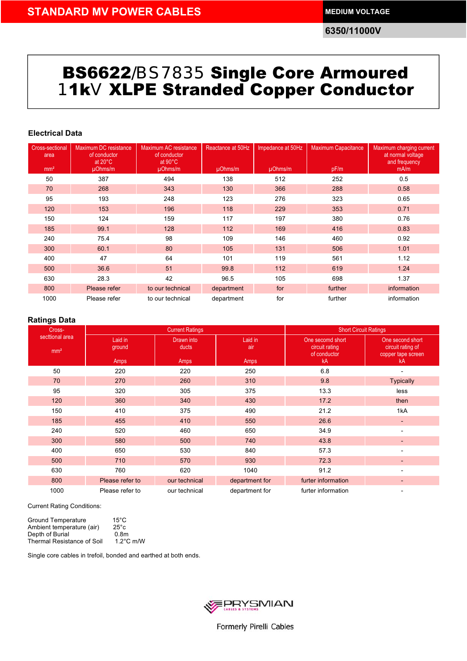**6350/11000V**

## BS6622/BS7835 Single Core Armoured11kV XLPE Stranded Copper Conductor

### **<sup>E</sup>lectrical Data**

| <b>Cross-sectional</b><br>area | Maximum DC resistance<br>of conductor<br>at $20^{\circ}$ C | Maximum AC resistance<br>of conductor<br>at $90^{\circ}$ C | Reactance at 50Hz | Impedance at 50Hz | <b>Maximum Capacitance</b> | Maximum charging current<br>at normal voltage<br>and frequency |
|--------------------------------|------------------------------------------------------------|------------------------------------------------------------|-------------------|-------------------|----------------------------|----------------------------------------------------------------|
| mm <sup>2</sup>                | µOhms/m                                                    | µOhms/m                                                    | $\mu$ Ohms/m      | $\mu$ Ohms/m      | pF/m                       | mA/m                                                           |
| 50                             | 387                                                        | 494                                                        | 138               | 512               | 252                        | 0.5                                                            |
| 70                             | 268                                                        | 343                                                        | 130               | 366               | 288                        | 0.58                                                           |
| 95                             | 193                                                        | 248                                                        | 123               | 276               | 323                        | 0.65                                                           |
| 120                            | 153                                                        | 196                                                        | 118               | 229               | 353                        | 0.71                                                           |
| 150                            | 124                                                        | 159                                                        | 117               | 197               | 380                        | 0.76                                                           |
| 185                            | 99.1                                                       | 128                                                        | 112               | 169               | 416                        | 0.83                                                           |
| 240                            | 75.4                                                       | 98                                                         | 109               | 146               | 460                        | 0.92                                                           |
| 300                            | 60.1                                                       | 80                                                         | 105               | 131               | 506                        | 1.01                                                           |
| 400                            | 47                                                         | 64                                                         | 101               | 119               | 561                        | 1.12                                                           |
| 500                            | 36.6                                                       | 51                                                         | 99.8              | 112               | 619                        | 1.24                                                           |
| 630                            | 28.3                                                       | 42                                                         | 96.5              | 105               | 698                        | 1.37                                                           |
| 800                            | Please refer                                               | to our technical                                           | department        | for               | further                    | information                                                    |
| 1000                           | Please refer                                               | to our technical                                           | department        | for               | further                    | information                                                    |

### **Ratings Data**

| ີ<br>Cross-                        |                           | <b>Current Ratings</b>      | <b>Short Circuit Ratings</b>  |                                                          |                                                                   |
|------------------------------------|---------------------------|-----------------------------|-------------------------------|----------------------------------------------------------|-------------------------------------------------------------------|
| secttional area<br>mm <sup>2</sup> | Laid in<br>ground<br>Amps | Drawn into<br>ducts<br>Amps | Laid in<br>air<br><b>Amps</b> | One secomd short<br>circuit rating<br>of conductor<br>kA | One second short<br>circuit rating of<br>copper tape screen<br>kA |
| 50                                 | 220                       | 220                         | 250                           | 6.8                                                      |                                                                   |
| 70                                 | 270                       | 260                         | 310                           | 9.8                                                      | <b>Typically</b>                                                  |
| 95                                 | 320                       | 305                         | 375                           | 13.3                                                     | less                                                              |
| 120                                | 360                       | 340                         | 430                           | 17.2                                                     | then                                                              |
| 150                                | 410                       | 375                         | 490                           | 21.2                                                     | 1kA                                                               |
| 185                                | 455                       | 410                         | 550                           | 26.6                                                     | ٠                                                                 |
| 240                                | 520                       | 460                         | 650                           | 34.9                                                     |                                                                   |
| 300                                | 580                       | 500                         | 740                           | 43.8                                                     |                                                                   |
| 400                                | 650                       | 530                         | 840                           | 57.3                                                     |                                                                   |
| 500                                | 710                       | 570                         | 930                           | 72.3                                                     |                                                                   |
| 630                                | 760                       | 620                         | 1040                          | 91.2                                                     |                                                                   |
| 800                                | Please refer to           | our technical               | department for                | furter information                                       |                                                                   |
| 1000                               | Please refer to           | our technical               | department for                | furter information                                       |                                                                   |

Current Rating Conditions:

| <b>Ground Temperature</b>  | $15^{\circ}$ C      |
|----------------------------|---------------------|
| Ambient temperature (air)  | $25^{\circ}c$       |
| Depth of Burial            | 0.8 <sub>m</sub>    |
| Thermal Resistance of Soil | $1.2^{\circ}$ C m/W |

Single core cables in trefoil, bonded and earthed at both ends.

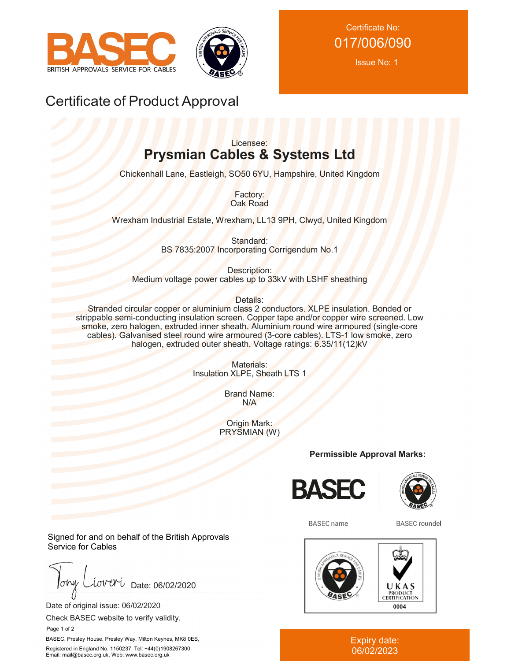



Issue No: 1

### Certificate of Product Approval

### Licensee: **Prysmian Cables & Systems Ltd**

Chickenhall Lane, Eastleigh, SO50 6YU, Hampshire, United Kingdom

Factory: Oak Road

Wrexham Industrial Estate, Wrexham, LL13 9PH, Clwyd, United Kingdom

Standard: BS 7835:2007 Incorporating Corrigendum No.1

Description: Medium voltage power cables up to 33kV with LSHF sheathing

Details:

Stranded circular copper or aluminium class 2 conductors. XLPE insulation. Bonded or strippable semi-conducting insulation screen. Copper tape and/or copper wire screened. Low smoke, zero halogen, extruded inner sheath. Aluminium round wire armoured (single-core cables). Galvanised steel round wire armoured (3-core cables). LTS-1 low smoke, zero halogen, extruded outer sheath. Voltage ratings: 6.35/11(12)kV

> Materials: Insulation XLPE, Sheath LTS 1

> > Brand Name: N/A

Origin Mark: PRYSMIAN (W)

**Permissible Approval Marks:**





**BASEC** name

**BASEC** roundel



Expiry date: 06/02/2023

Signed for and on behalf of the British Approvals Service for Cables

lohy iover Date: 06/02/2020

Date of original issue: 06/02/2020

Check BASEC website to verify validity.

Page 1 of 2

BASEC, Presley House, Presley Way, Milton Keynes, MK8 0ES, Registered in England No. 1150237, Tel: +44(0)1908267300 Email: mail@basec.org.uk, Web: www.basec.org.uk